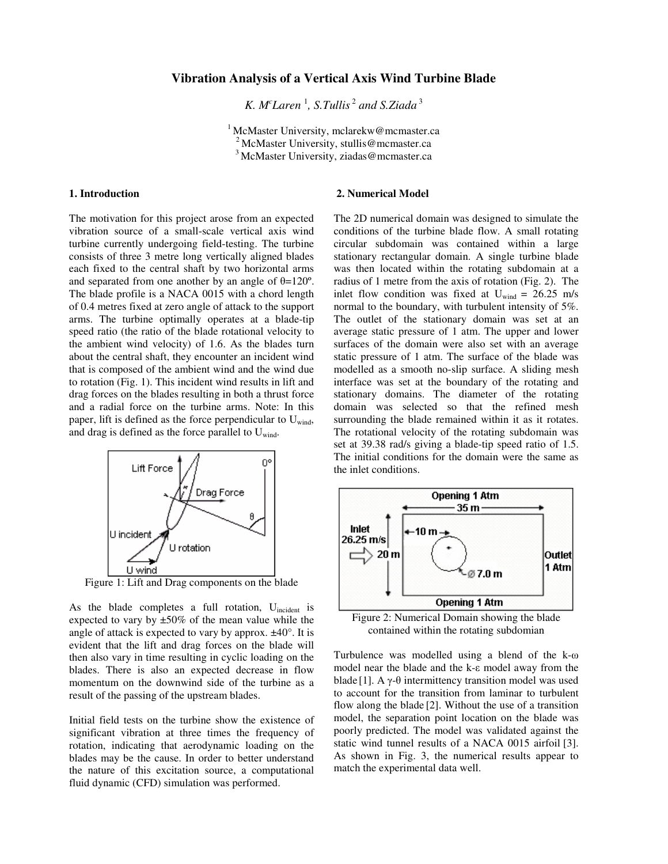# **Vibration Analysis of a Vertical Axis Wind Turbine Blade**

*K.*  $M^c$  *Laren*<sup>1</sup>, *S.Tullis*<sup>2</sup> and *S.Ziada*<sup>3</sup>

<sup>1</sup> McMaster University, mclarekw@mcmaster.ca <sup>2</sup> McMaster University, stullis@mcmaster.ca <sup>3</sup>McMaster University, ziadas@mcmaster.ca

### **1. Introduction**

The motivation for this project arose from an expected vibration source of a small-scale vertical axis wind turbine currently undergoing field-testing. The turbine consists of three 3 metre long vertically aligned blades each fixed to the central shaft by two horizontal arms and separated from one another by an angle of  $\theta$ =120°. The blade profile is a NACA 0015 with a chord length of 0.4 metres fixed at zero angle of attack to the support arms. The turbine optimally operates at a blade-tip speed ratio (the ratio of the blade rotational velocity to the ambient wind velocity) of 1.6. As the blades turn about the central shaft, they encounter an incident wind that is composed of the ambient wind and the wind due to rotation (Fig. 1). This incident wind results in lift and drag forces on the blades resulting in both a thrust force and a radial force on the turbine arms. Note: In this paper, lift is defined as the force perpendicular to  $U_{wind}$ , and drag is defined as the force parallel to  $U_{wind}$ .



Figure 1: Lift and Drag components on the blade

As the blade completes a full rotation,  $U_{\text{incident}}$  is expected to vary by  $\pm 50\%$  of the mean value while the angle of attack is expected to vary by approx.  $\pm 40^\circ$ . It is evident that the lift and drag forces on the blade will then also vary in time resulting in cyclic loading on the blades. There is also an expected decrease in flow momentum on the downwind side of the turbine as a result of the passing of the upstream blades.

Initial field tests on the turbine show the existence of significant vibration at three times the frequency of rotation, indicating that aerodynamic loading on the blades may be the cause. In order to better understand the nature of this excitation source, a computational fluid dynamic (CFD) simulation was performed.

### **2. Numerical Model**

The 2D numerical domain was designed to simulate the conditions of the turbine blade flow. A small rotating circular subdomain was contained within a large stationary rectangular domain. A single turbine blade was then located within the rotating subdomain at a radius of 1 metre from the axis of rotation (Fig. 2). The inlet flow condition was fixed at  $U_{wind} = 26.25$  m/s normal to the boundary, with turbulent intensity of 5%. The outlet of the stationary domain was set at an average static pressure of 1 atm. The upper and lower surfaces of the domain were also set with an average static pressure of 1 atm. The surface of the blade was modelled as a smooth no-slip surface. A sliding mesh interface was set at the boundary of the rotating and stationary domains. The diameter of the rotating domain was selected so that the refined mesh surrounding the blade remained within it as it rotates. The rotational velocity of the rotating subdomain was set at 39.38 rad/s giving a blade-tip speed ratio of 1.5. The initial conditions for the domain were the same as the inlet conditions.



Figure 2: Numerical Domain showing the blade contained within the rotating subdomian

Turbulence was modelled using a blend of the k-ω model near the blade and the k-ε model away from the blade [1]. A  $\gamma$ - $\theta$  intermittency transition model was used to account for the transition from laminar to turbulent flow along the blade [2]. Without the use of a transition model, the separation point location on the blade was poorly predicted. The model was validated against the static wind tunnel results of a NACA 0015 airfoil [3]. As shown in Fig. 3, the numerical results appear to match the experimental data well.